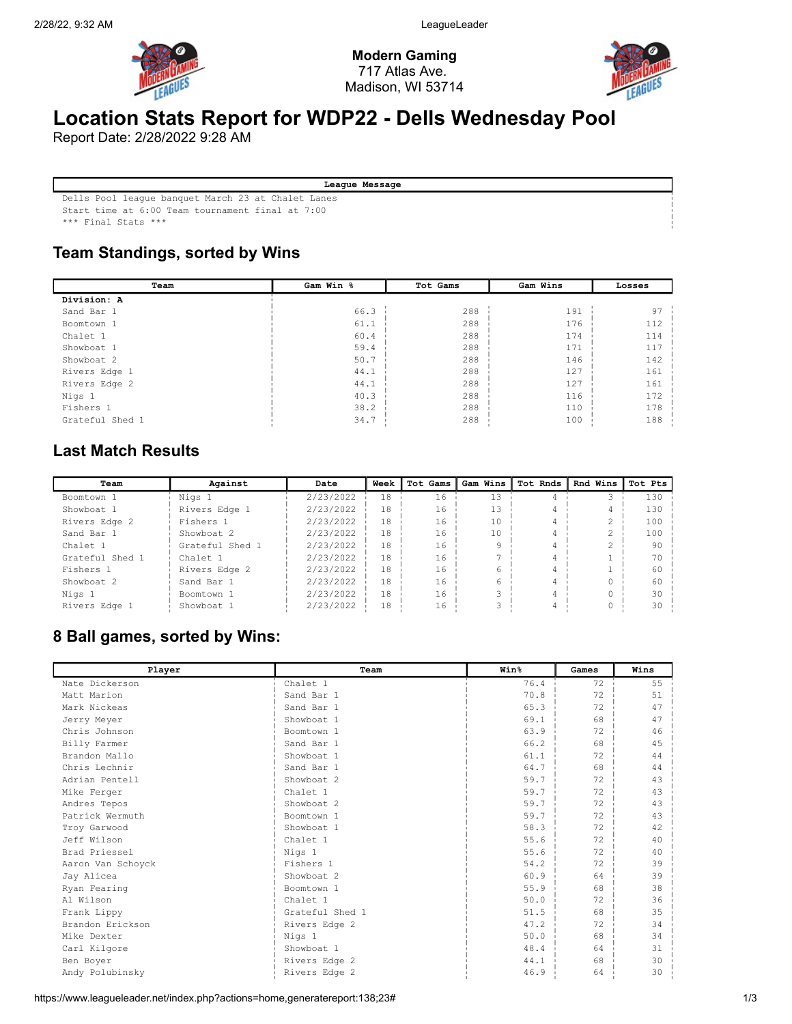

Modern Gaming 717 Atlas Ave. Madison, WI 53714



# Location Stats Report for WDP22 - Dells Wednesday Pool

Report Date: 2/28/2022 9:28 AM

| League Message |
|----------------|

Dells Pool league banquet March 23 at Chalet Lanes

Start time at 6:00 Team tournament final at 7:00

\*\*\* Final Stats \*\*\*

### Team Standings, sorted by Wins

| Team            | Gam Win %<br>Tot Gams |     | Gam Wins | Losses |
|-----------------|-----------------------|-----|----------|--------|
| Division: A     |                       |     |          |        |
| Sand Bar 1      | 66.3                  | 288 | 191      | 97     |
| Boomtown 1      | 61.1                  | 288 | 176      | 112    |
| Chalet 1        | 60.4                  | 288 | 174      | 114    |
| Showboat 1      | 59.4                  | 288 | 171      | 117    |
| Showboat 2      | 50.7                  | 288 | 146      | 142    |
| Rivers Edge 1   | 44.1                  | 288 | 127      | 161    |
| Rivers Edge 2   | 44.1                  | 288 | 127      | 161    |
| Nigs 1          | 40.3                  | 288 | 116      | 172    |
| Fishers 1       | 38.2                  | 288 | 110      | 178    |
| Grateful Shed 1 | 34.7                  | 288 | 100      | 188    |

## Last Match Results

| Team            | Against         | Date      | Week | Tot Gams | Gam Wins | Tot Rnds | Rnd Wins | Tot Pts |
|-----------------|-----------------|-----------|------|----------|----------|----------|----------|---------|
| Boomtown 1      | Nigs 1          | 2/23/2022 | 18   | 16       |          |          |          | 130     |
| Showboat 1      | Rivers Edge 1   | 2/23/2022 | 18   | 16       | 13       |          |          | 130     |
| Rivers Edge 2   | Fishers 1       | 2/23/2022 | 18   | 16       | 10       |          |          | 100     |
| Sand Bar 1      | Showboat 2      | 2/23/2022 | 18   | 16       | 10       |          |          | 100     |
| Chalet 1        | Grateful Shed 1 | 2/23/2022 | 18   | 16       |          |          |          | 90      |
| Grateful Shed 1 | Chalet 1        | 2/23/2022 | 18   | 16       |          |          |          | 70      |
| Fishers 1       | Rivers Edge 2   | 2/23/2022 | 18   | 16       |          |          |          | 60      |
| Showboat 2      | Sand Bar 1      | 2/23/2022 | 18   | 16       |          |          |          | 60      |
| Nigs 1          | Boomtown 1      | 2/23/2022 | 18   | 16       |          |          |          | 30      |
| Rivers Edge 1   | Showboat 1      | 2/23/2022 | 18   | 16       |          |          |          | 30      |

#### 8 Ball games, sorted by Wins:

| Player            | Team            | Win <sup>8</sup>   | Games | Wins |
|-------------------|-----------------|--------------------|-------|------|
| Nate Dickerson    | Chalet 1        | 76.4               | 72    | 55   |
| Matt Marion       | Sand Bar 1      | 70.8               | 72    | 51   |
| Mark Nickeas      | Sand Bar 1      | 65.3               | 72    | 47   |
| Jerry Meyer       | Showboat 1      | 69.1               | 68    | 47   |
| Chris Johnson     | Boomtown 1      | 63.9               | 72    | 46   |
| Billy Farmer      | Sand Bar 1      | 66.2               | 68    | 45   |
| Brandon Mallo     | Showboat 1      | 61.1               | 72    | 44   |
| Chris Lechnir     | Sand Bar 1      | 64.7               | 68    | 44   |
| Adrian Pentell    | Showboat 2      | 59.7               | 72    | 43   |
| Mike Ferger       | Chalet 1        | 59.7               | 72    | 43   |
| Andres Tepos      | Showboat 2      | $59.7 \frac{1}{2}$ | 72    | 43   |
| Patrick Wermuth   | Boomtown 1      | 59.7               | 72    | 43   |
| Troy Garwood      | Showboat 1      | 58.3               | 72    | 42   |
| Jeff Wilson       | Chalet 1        | 55.6               | 72    | 40   |
| Brad Priessel     | Nigs 1          | 55.6               | 72    | 40   |
| Aaron Van Schovck | Fishers 1       | 54.2               | 72    | 39   |
| Jay Alicea        | Showboat 2      | 60.9               | 64    | 39   |
| Ryan Fearing      | Boomtown 1      | 55.9               | 68    | 38   |
| Al Wilson         | Chalet 1        | 50.0               | 72    | 36   |
| Frank Lippy       | Grateful Shed 1 | 51.5               | 68    | 35   |
| Brandon Erickson  | Rivers Edge 2   | 47.2               | 72    | 34   |
| Mike Dexter       | Nigs 1          | 50.0               | 68    | 34   |
| Carl Kilgore      | Showboat 1      | 48.4               | 64    | 31   |
| Ben Boyer         | Rivers Edge 2   | 44.1               | 68    | 30   |
| Andy Polubinsky   | Rivers Edge 2   | 46.9               | 64    | 30   |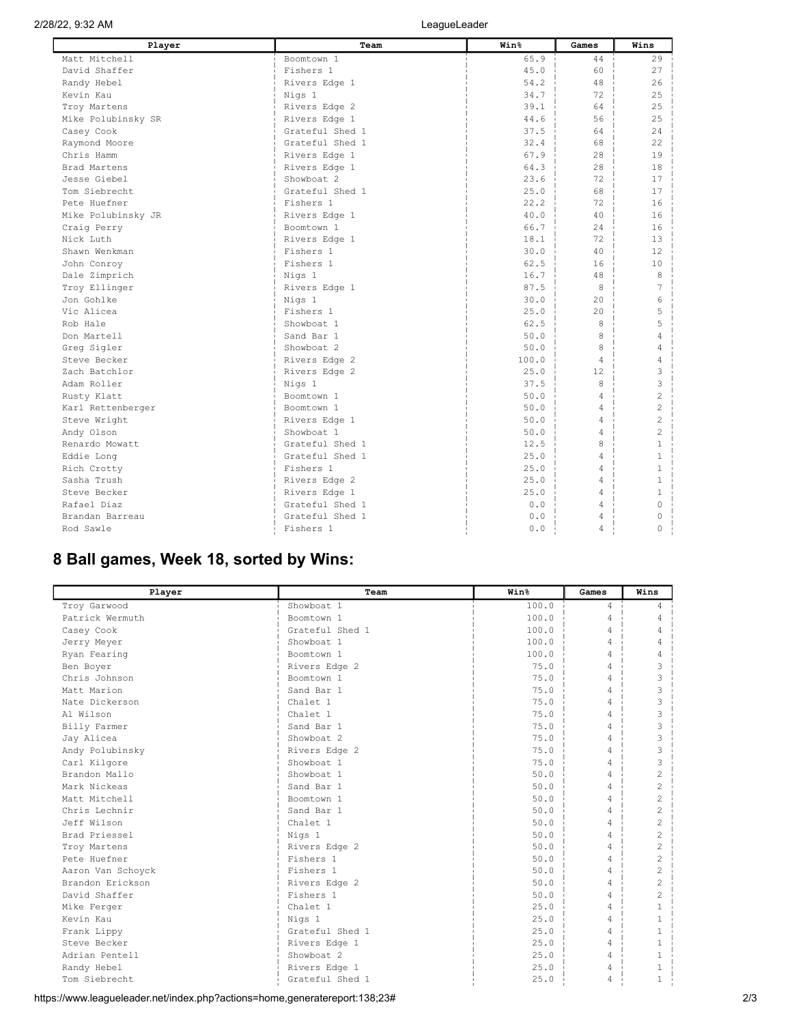| Player             | Team            | Win <sup>8</sup> | Games          | Wins           |
|--------------------|-----------------|------------------|----------------|----------------|
| Matt Mitchell      | Boomtown 1      | 65.9             | 44             | 29             |
| David Shaffer      | Fishers 1       | 45.0             | 60             | 27             |
| Randy Hebel        | Rivers Edge 1   | 54.2             | 48             | 26             |
| Kevin Kau          | Nigs 1          | $34.7 -$         | 72             | 25             |
| Troy Martens       | Rivers Edge 2   | 39.1             | 64             | 25             |
| Mike Polubinsky SR | Rivers Edge 1   | 44.6             | 56             | 25             |
| Casey Cook         | Grateful Shed 1 | 37.5             | 64             | 24             |
| Raymond Moore      | Grateful Shed 1 | 32.4             | 68             | 22             |
| Chris Hamm         | Rivers Edge 1   | 67.9             | 28             | 19             |
| Brad Martens       | Rivers Edge 1   | 64.3             | 28             | 18             |
| Jesse Giebel       | Showboat 2      | 23.6             | 72             | 17             |
| Tom Siebrecht      | Grateful Shed 1 | $25.0 \pm$       | 68             | 17             |
| Pete Huefner       | Fishers 1       | 22.2             | 72             | 16             |
| Mike Polubinsky JR | Rivers Edge 1   | 40.0             | 40             | 16             |
| Craig Perry        | Boomtown 1      | 66.7             | 24             | 16             |
| Nick Luth          | Rivers Edge 1   | 18.1             | 72             | 13             |
| Shawn Wenkman      | Fishers 1       | 30.0             | 40             | 12             |
| John Conroy        | Fishers 1       | 62.5             | 16             | 10             |
| Dale Zimprich      | Nigs 1          | 16.7             | 48             | 8              |
| Troy Ellinger      | Rivers Edge 1   | 87.5             | -8             | 7              |
| Jon Gohlke         | Nigs 1          | 30.0             | 20             | 6              |
| Vic Alicea         | Fishers 1       | 25.0             | 20             | 5              |
| Rob Hale           | Showboat 1      | 62.5             | 8              | 5              |
| Don Martell        | Sand Bar 1      | 50.0             | 8              | 4              |
| Greq Sigler        | Showboat 2      | 50.0             | 8              | 4              |
| Steve Becker       | Rivers Edge 2   | 100.0            | $\overline{4}$ | 4              |
| Zach Batchlor      | Rivers Edge 2   | 25.0             | 12.            | 3              |
| Adam Roller        | Nigs 1          | 37.5             | 8              | 3              |
| Rusty Klatt        | Boomtown 1      | 50.0             | $\overline{4}$ | $\overline{2}$ |
| Karl Rettenberger  | Boomtown 1      | 50.0             | $\overline{4}$ | $\overline{c}$ |
| Steve Wright       | Rivers Edge 1   | 50.0             | $\overline{4}$ | $\overline{c}$ |
| Andy Olson         | Showboat 1      | 50.0             | $\overline{4}$ | $\overline{c}$ |
| Renardo Mowatt     | Grateful Shed 1 | 12.5             | 8              | $\mathbf{1}$   |
| Eddie Long         | Grateful Shed 1 | 25.0             | $\overline{4}$ | $\mathbf{1}$   |
| Rich Crotty        | Fishers 1       | 25.0             | $\overline{4}$ | $\mathbf{1}$   |
| Sasha Trush        | Rivers Edge 2   | 25.0             | $\overline{4}$ | $\mathbf{1}$   |
| Steve Becker       | Rivers Edge 1   | 25.0             | $\overline{4}$ | $\mathbf{1}$   |
| Rafael Diaz        | Grateful Shed 1 | 0.0              | $\overline{4}$ | $\Omega$       |
| Brandan Barreau    | Grateful Shed 1 | 0.0              | $\overline{4}$ | $\cap$         |
| Rod Sawle          | Fishers 1       | 0.0              | $\overline{4}$ | $\Omega$       |

## 8 Ball games, Week 18, sorted by Wins:

| Player            | Team                | Win <sup>8</sup> | Games          | Wins           |
|-------------------|---------------------|------------------|----------------|----------------|
| Troy Garwood      | Showboat 1          | 100.0            | $\overline{4}$ | 4              |
| Patrick Wermuth   | Boomtown 1          | 100.0            | $\overline{4}$ | 4              |
| Casey Cook        | Grateful Shed 1     | 100.0            | 4              | 4              |
| Jerry Meyer       | Showboat 1          | 100.0            | 4              | 4              |
| Ryan Fearing      | Boomtown 1          | 100.0            | 4              | 4              |
| Ben Boyer         | Rivers Edge 2       | 75.0             | 4              | 3              |
| Chris Johnson     | Boomtown 1          | 75.0             | 4              | 3              |
| Matt Marion       | Sand Bar 1          | 75.0             | 4              | 3              |
| Nate Dickerson    | Chalet <sub>1</sub> | 75.0             | 4              | 3              |
| Al Wilson         | Chalet 1            | 75.0             | 4              | 3              |
| Billy Farmer      | Sand Bar 1          | 75.0             | $\overline{4}$ | 3              |
| Jay Alicea        | Showboat 2          | 75.0             | 4              | 3              |
| Andy Polubinsky   | Rivers Edge 2       | 75.0             | $\overline{4}$ | 3              |
| Carl Kilgore      | Showboat 1          | 75.0             | 4              | 3              |
| Brandon Mallo     | Showboat 1          | 50.0             | 4              | $\overline{c}$ |
| Mark Nickeas      | Sand Bar 1          | 50.0             | 4              | $\overline{c}$ |
| Matt Mitchell     | Boomtown 1          | 50.0             | 4              | $\overline{c}$ |
| Chris Lechnir     | Sand Bar 1          | 50.0             | 4              | $\overline{c}$ |
| Jeff Wilson       | Chalet 1            | 50.0             | 4              | $\overline{c}$ |
| Brad Priessel     | Nigs 1              | 50.0             | $\overline{4}$ | $\overline{c}$ |
| Troy Martens      | Rivers Edge 2       | 50.0             | 4              | $\overline{c}$ |
| Pete Huefner      | Fishers 1           | 50.0             | 4              | $\overline{c}$ |
| Aaron Van Schoyck | Fishers 1           | 50.0             | 4              | $\overline{c}$ |
| Brandon Erickson  | Rivers Edge 2       | 50.0             | 4              | $\overline{c}$ |
| David Shaffer     | Fishers 1           | 50.0             | 4              | $\overline{c}$ |
| Mike Ferger       | Chalet <sub>1</sub> | 25.0             | 4              | 1              |
| Kevin Kau         | Nigs 1              | 2.5.0            | 4              | 1              |
| Frank Lippy       | Grateful Shed 1     | 25.0             | 4              | 1              |
| Steve Becker      | Rivers Edge 1       | 25.0             | 4              | 1              |
| Adrian Pentell    | Showboat 2          | 25.0             | $\overline{4}$ | 1              |
| Randy Hebel       | Rivers Edge 1       | 25.0             | 4              | 1              |
| Tom Siebrecht     | Grateful Shed 1     | 25.0             | 4              |                |

https://www.leagueleader.net/index.php?actions=home,generatereport:138;23# 2/3